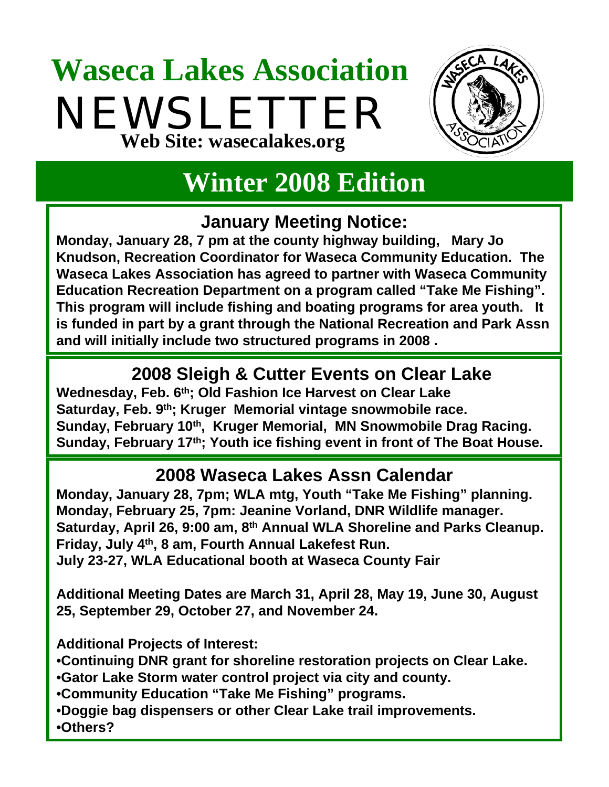## **Waseca Lakes Association** NEWSLETTER **Web Site: wasecalakes.org**



## **Winter 2008 Edition**

### **January Meeting Notice:**

**Monday, January 28, 7 pm at the county highway building, Mary Jo Knudson, Recreation Coordinator for Waseca Community Education. The Waseca Lakes Association has agreed to partner with Waseca Community Education Recreation Department on a program called "Take Me Fishing". This program will include fishing and boating programs for area youth. It is funded in part by a grant through the National Recreation and Park Assn and will initially include two structured programs in 2008 .**

### **2008 Sleigh & Cutter Events on Clear Lake**

**Wednesday, Feb. 6th; Old Fashion Ice Harvest on Clear Lake Saturday, Feb. 9th; Kruger Memorial vintage snowmobile race.** Sunday, February 10<sup>th</sup>, Kruger Memorial, MN Snowmobile Drag Racing. **Sunday, February 17th; Youth ice fishing event in front of The Boat House.**

### **2008 Waseca Lakes Assn Calendar**

**Monday, January 28, 7pm; WLA mtg, Youth "Take Me Fishing" planning. Monday, February 25, 7pm: Jeanine Vorland, DNR Wildlife manager. Saturday, April 26, 9:00 am, 8th Annual WLA Shoreline and Parks Cleanup. Friday, July 4th, 8 am, Fourth Annual Lakefest Run. July 23-27, WLA Educational booth at Waseca County Fair**

**Additional Meeting Dates are March 31, April 28, May 19, June 30, August 25, September 29, October 27, and November 24.**

**Additional Projects of Interest:**

•**Continuing DNR grant for shoreline restoration projects on Clear Lake.**

•**Gator Lake Storm water control project via city and county.**

•**Community Education "Take Me Fishing" programs.**

•**Doggie bag dispensers or other Clear Lake trail improvements.**

•**Others?**